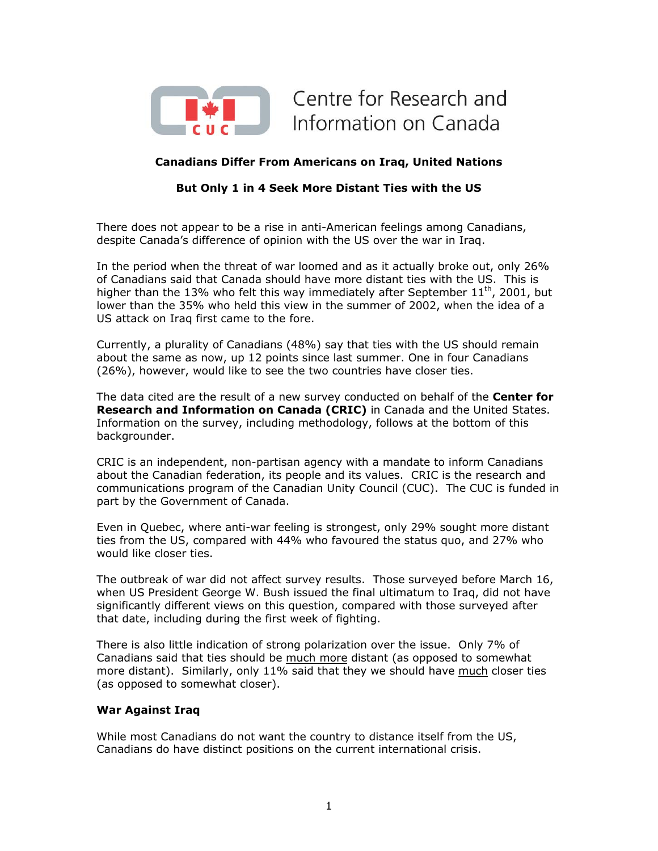

Centre for Research and Information on Canada

# **Canadians Differ From Americans on Iraq, United Nations**

## **But Only 1 in 4 Seek More Distant Ties with the US**

There does not appear to be a rise in anti-American feelings among Canadians, despite Canada's difference of opinion with the US over the war in Iraq.

In the period when the threat of war loomed and as it actually broke out, only 26% of Canadians said that Canada should have more distant ties with the US. This is higher than the 13% who felt this way immediately after September  $11^{\text{th}}$ , 2001, but lower than the 35% who held this view in the summer of 2002, when the idea of a US attack on Iraq first came to the fore.

Currently, a plurality of Canadians (48%) say that ties with the US should remain about the same as now, up 12 points since last summer. One in four Canadians (26%), however, would like to see the two countries have closer ties.

The data cited are the result of a new survey conducted on behalf of the **Center for Research and Information on Canada (CRIC)** in Canada and the United States. Information on the survey, including methodology, follows at the bottom of this backgrounder.

CRIC is an independent, non-partisan agency with a mandate to inform Canadians about the Canadian federation, its people and its values. CRIC is the research and communications program of the Canadian Unity Council (CUC). The CUC is funded in part by the Government of Canada.

Even in Quebec, where anti-war feeling is strongest, only 29% sought more distant ties from the US, compared with 44% who favoured the status quo, and 27% who would like closer ties.

The outbreak of war did not affect survey results. Those surveyed before March 16, when US President George W. Bush issued the final ultimatum to Iraq, did not have significantly different views on this question, compared with those surveyed after that date, including during the first week of fighting.

There is also little indication of strong polarization over the issue. Only 7% of Canadians said that ties should be much more distant (as opposed to somewhat more distant). Similarly, only 11% said that they we should have much closer ties (as opposed to somewhat closer).

### **War Against Iraq**

While most Canadians do not want the country to distance itself from the US, Canadians do have distinct positions on the current international crisis.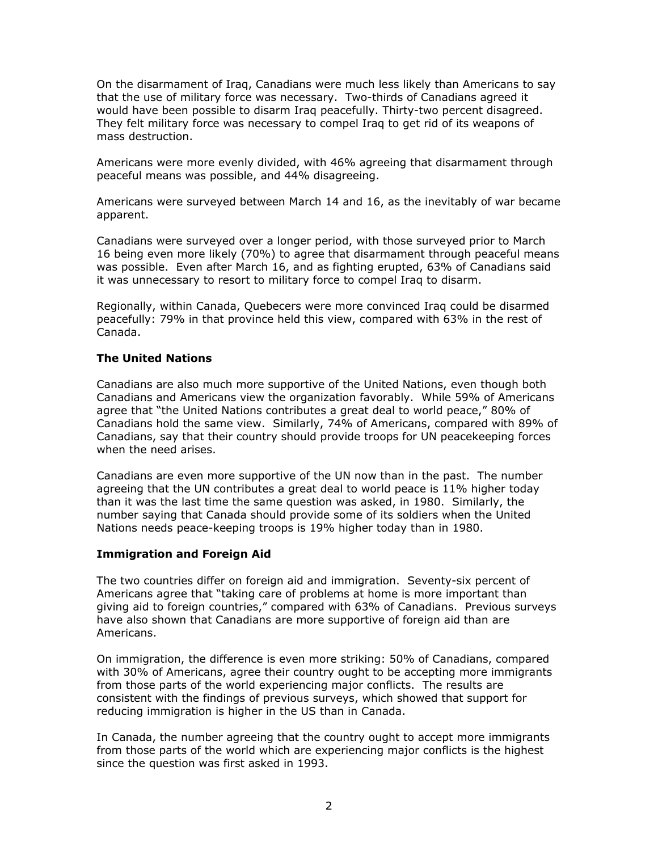On the disarmament of Iraq, Canadians were much less likely than Americans to say that the use of military force was necessary. Two-thirds of Canadians agreed it would have been possible to disarm Iraq peacefully. Thirty-two percent disagreed. They felt military force was necessary to compel Iraq to get rid of its weapons of mass destruction.

Americans were more evenly divided, with 46% agreeing that disarmament through peaceful means was possible, and 44% disagreeing.

Americans were surveyed between March 14 and 16, as the inevitably of war became apparent.

Canadians were surveyed over a longer period, with those surveyed prior to March 16 being even more likely (70%) to agree that disarmament through peaceful means was possible. Even after March 16, and as fighting erupted, 63% of Canadians said it was unnecessary to resort to military force to compel Iraq to disarm.

Regionally, within Canada, Quebecers were more convinced Iraq could be disarmed peacefully: 79% in that province held this view, compared with 63% in the rest of Canada.

### **The United Nations**

Canadians are also much more supportive of the United Nations, even though both Canadians and Americans view the organization favorably. While 59% of Americans agree that "the United Nations contributes a great deal to world peace," 80% of Canadians hold the same view. Similarly, 74% of Americans, compared with 89% of Canadians, say that their country should provide troops for UN peacekeeping forces when the need arises.

Canadians are even more supportive of the UN now than in the past. The number agreeing that the UN contributes a great deal to world peace is 11% higher today than it was the last time the same question was asked, in 1980. Similarly, the number saying that Canada should provide some of its soldiers when the United Nations needs peace-keeping troops is 19% higher today than in 1980.

### **Immigration and Foreign Aid**

The two countries differ on foreign aid and immigration. Seventy-six percent of Americans agree that "taking care of problems at home is more important than giving aid to foreign countries," compared with 63% of Canadians. Previous surveys have also shown that Canadians are more supportive of foreign aid than are Americans.

On immigration, the difference is even more striking: 50% of Canadians, compared with 30% of Americans, agree their country ought to be accepting more immigrants from those parts of the world experiencing major conflicts. The results are consistent with the findings of previous surveys, which showed that support for reducing immigration is higher in the US than in Canada.

In Canada, the number agreeing that the country ought to accept more immigrants from those parts of the world which are experiencing major conflicts is the highest since the question was first asked in 1993.